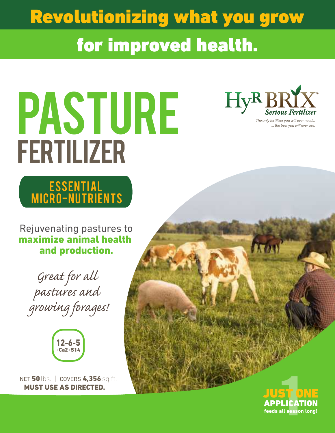# Revolutionizing what you grow

# for improved health.

# PASTURE FERTILIZER



*The only fertilizer you will ever need... ... the best you will ever use.*



Rejuvenating pastures to maximize animal health and production.

Great for all pastures and growing forages!



NET 50 lbs. | COVERS 4,356 sq.ft. MUST USE AS DIRECTED.